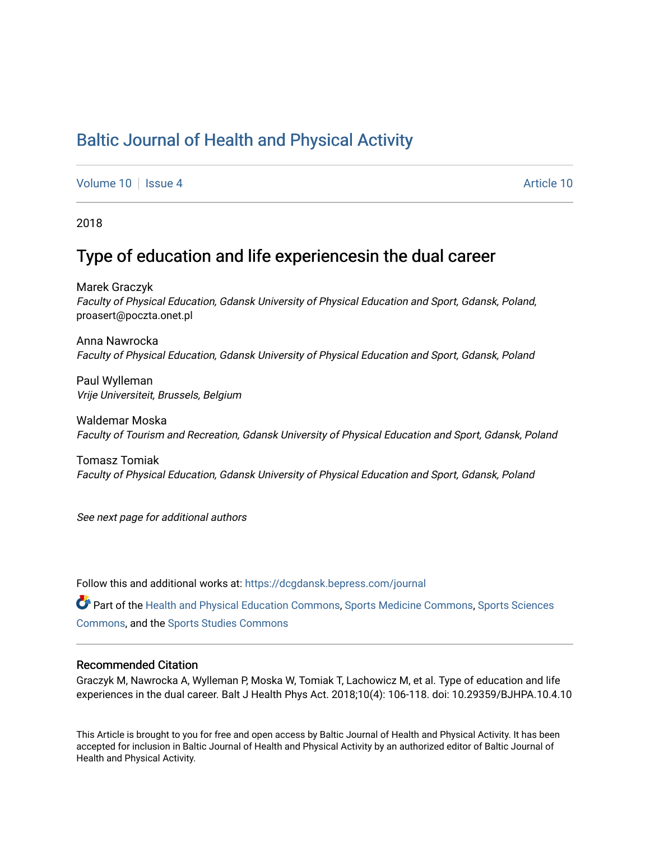## [Baltic Journal of Health and Physical Activity](https://dcgdansk.bepress.com/journal)

[Volume 10](https://dcgdansk.bepress.com/journal/vol10) | [Issue 4](https://dcgdansk.bepress.com/journal/vol10/iss4) Article 10

2018

## Type of education and life experiencesin the dual career

Marek Graczyk Faculty of Physical Education, Gdansk University of Physical Education and Sport, Gdansk, Poland, proasert@poczta.onet.pl

Anna Nawrocka Faculty of Physical Education, Gdansk University of Physical Education and Sport, Gdansk, Poland

Paul Wylleman Vrije Universiteit, Brussels, Belgium

Waldemar Moska Faculty of Tourism and Recreation, Gdansk University of Physical Education and Sport, Gdansk, Poland

Tomasz Tomiak Faculty of Physical Education, Gdansk University of Physical Education and Sport, Gdansk, Poland

See next page for additional authors

Follow this and additional works at: [https://dcgdansk.bepress.com/journal](https://dcgdansk.bepress.com/journal?utm_source=dcgdansk.bepress.com%2Fjournal%2Fvol10%2Fiss4%2F10&utm_medium=PDF&utm_campaign=PDFCoverPages)

Part of the [Health and Physical Education Commons](http://network.bepress.com/hgg/discipline/1327?utm_source=dcgdansk.bepress.com%2Fjournal%2Fvol10%2Fiss4%2F10&utm_medium=PDF&utm_campaign=PDFCoverPages), [Sports Medicine Commons,](http://network.bepress.com/hgg/discipline/1331?utm_source=dcgdansk.bepress.com%2Fjournal%2Fvol10%2Fiss4%2F10&utm_medium=PDF&utm_campaign=PDFCoverPages) [Sports Sciences](http://network.bepress.com/hgg/discipline/759?utm_source=dcgdansk.bepress.com%2Fjournal%2Fvol10%2Fiss4%2F10&utm_medium=PDF&utm_campaign=PDFCoverPages) [Commons](http://network.bepress.com/hgg/discipline/759?utm_source=dcgdansk.bepress.com%2Fjournal%2Fvol10%2Fiss4%2F10&utm_medium=PDF&utm_campaign=PDFCoverPages), and the [Sports Studies Commons](http://network.bepress.com/hgg/discipline/1198?utm_source=dcgdansk.bepress.com%2Fjournal%2Fvol10%2Fiss4%2F10&utm_medium=PDF&utm_campaign=PDFCoverPages) 

#### Recommended Citation

Graczyk M, Nawrocka A, Wylleman P, Moska W, Tomiak T, Lachowicz M, et al. Type of education and life experiences in the dual career. Balt J Health Phys Act. 2018;10(4): 106-118. doi: 10.29359/BJHPA.10.4.10

This Article is brought to you for free and open access by Baltic Journal of Health and Physical Activity. It has been accepted for inclusion in Baltic Journal of Health and Physical Activity by an authorized editor of Baltic Journal of Health and Physical Activity.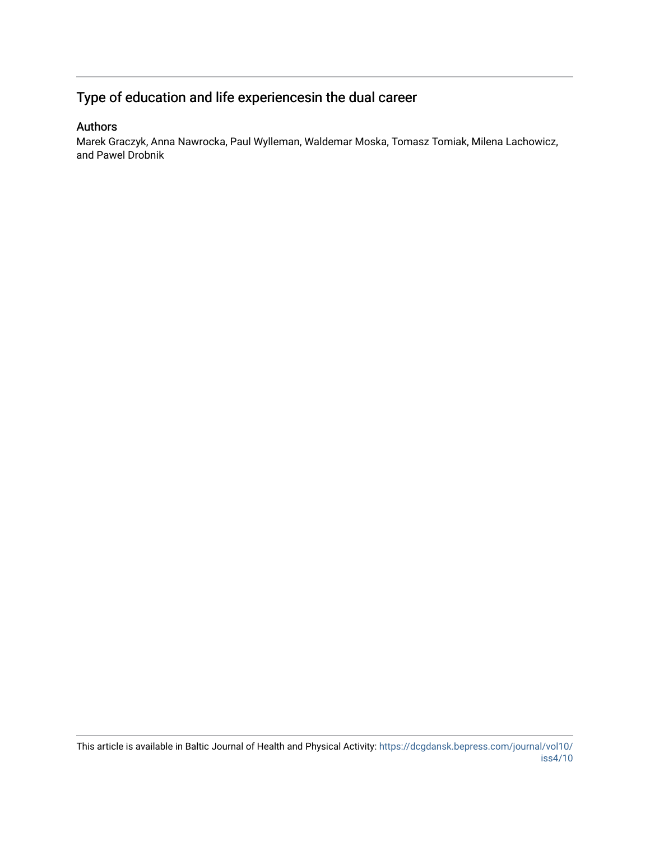## Type of education and life experiencesin the dual career

#### Authors

Marek Graczyk, Anna Nawrocka, Paul Wylleman, Waldemar Moska, Tomasz Tomiak, Milena Lachowicz, and Pawel Drobnik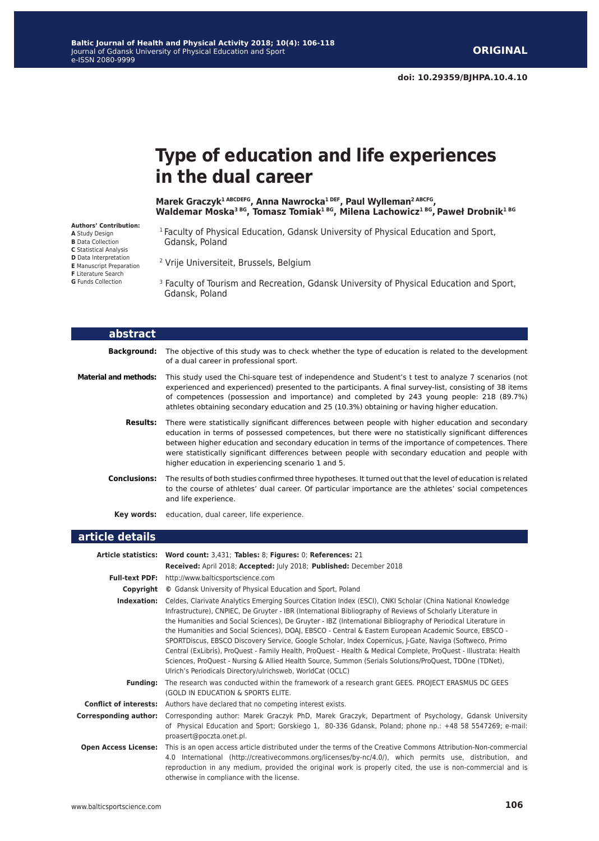# **Type of education and life experiences in the dual career**

**Marek Graczyk1 ABCDEFG, Anna Nawrocka1 DEF, Paul Wylleman2 ABCFG, Waldemar Moska3 BG, Tomasz Tomiak1 BG, Milena Lachowicz1 BG, Paweł Drobnik1 BG**

- <sup>1</sup> Faculty of Physical Education, Gdansk University of Physical Education and Sport, Gdansk, Poland
- 2 Vrije Universiteit, Brussels, Belgium
- <sup>3</sup> Faculty of Tourism and Recreation, Gdansk University of Physical Education and Sport, Gdansk, Poland

| abstract                     |                                                                                                                                                                                                                                                                                                                                                                                                                                                                              |
|------------------------------|------------------------------------------------------------------------------------------------------------------------------------------------------------------------------------------------------------------------------------------------------------------------------------------------------------------------------------------------------------------------------------------------------------------------------------------------------------------------------|
| Background:                  | The objective of this study was to check whether the type of education is related to the development<br>of a dual career in professional sport.                                                                                                                                                                                                                                                                                                                              |
| <b>Material and methods:</b> | This study used the Chi-square test of independence and Student's t test to analyze 7 scenarios (not<br>experienced and experienced) presented to the participants. A final survey-list, consisting of 38 items<br>of competences (possession and importance) and completed by 243 young people: 218 (89.7%)<br>athletes obtaining secondary education and 25 (10.3%) obtaining or having higher education.                                                                  |
| <b>Results:</b>              | There were statistically significant differences between people with higher education and secondary<br>education in terms of possessed competences, but there were no statistically significant differences<br>between higher education and secondary education in terms of the importance of competences. There<br>were statistically significant differences between people with secondary education and people with<br>higher education in experiencing scenario 1 and 5. |
| <b>Conclusions:</b>          | The results of both studies confirmed three hypotheses. It turned out that the level of education is related<br>to the course of athletes' dual career. Of particular importance are the athletes' social competences<br>and life experience.                                                                                                                                                                                                                                |
| Key words:                   | education, dual career, life experience.                                                                                                                                                                                                                                                                                                                                                                                                                                     |

#### **article details**

|                              | Article statistics: Word count: 3,431; Tables: 8; Figures: 0; References: 21                                                                                                                                                                                                                                                                                                                                                                                                                                                                                                                                                                                                                                                                                                                                                                                  |
|------------------------------|---------------------------------------------------------------------------------------------------------------------------------------------------------------------------------------------------------------------------------------------------------------------------------------------------------------------------------------------------------------------------------------------------------------------------------------------------------------------------------------------------------------------------------------------------------------------------------------------------------------------------------------------------------------------------------------------------------------------------------------------------------------------------------------------------------------------------------------------------------------|
|                              | Received: April 2018; Accepted: July 2018; Published: December 2018                                                                                                                                                                                                                                                                                                                                                                                                                                                                                                                                                                                                                                                                                                                                                                                           |
|                              | Full-text PDF: http://www.balticsportscience.com                                                                                                                                                                                                                                                                                                                                                                                                                                                                                                                                                                                                                                                                                                                                                                                                              |
| Copyright                    | © Gdansk University of Physical Education and Sport, Poland                                                                                                                                                                                                                                                                                                                                                                                                                                                                                                                                                                                                                                                                                                                                                                                                   |
| Indexation:                  | Celdes, Clarivate Analytics Emerging Sources Citation Index (ESCI), CNKI Scholar (China National Knowledge<br>Infrastructure), CNPIEC, De Gruyter - IBR (International Bibliography of Reviews of Scholarly Literature in<br>the Humanities and Social Sciences), De Gruyter - IBZ (International Bibliography of Periodical Literature in<br>the Humanities and Social Sciences), DOAJ, EBSCO - Central & Eastern European Academic Source, EBSCO -<br>SPORTDiscus, EBSCO Discovery Service, Google Scholar, Index Copernicus, J-Gate, Naviga (Softweco, Primo<br>Central (ExLibris), ProQuest - Family Health, ProQuest - Health & Medical Complete, ProQuest - Illustrata: Health<br>Sciences, ProQuest - Nursing & Allied Health Source, Summon (Serials Solutions/ProQuest, TDOne (TDNet),<br>Ulrich's Periodicals Directory/ulrichsweb, WorldCat (OCLC) |
| <b>Fundina:</b>              | The research was conducted within the framework of a research grant GEES. PROJECT ERASMUS DC GEES<br>(GOLD IN EDUCATION & SPORTS ELITE.                                                                                                                                                                                                                                                                                                                                                                                                                                                                                                                                                                                                                                                                                                                       |
|                              | <b>Conflict of interests:</b> Authors have declared that no competing interest exists.                                                                                                                                                                                                                                                                                                                                                                                                                                                                                                                                                                                                                                                                                                                                                                        |
| <b>Corresponding author:</b> | Corresponding author: Marek Graczyk PhD, Marek Graczyk, Department of Psychology, Gdansk University<br>of Physical Education and Sport; Gorskiego 1, 80-336 Gdansk, Poland; phone np.: +48 58 5547269; e-mail:<br>proasert@poczta.onet.pl.                                                                                                                                                                                                                                                                                                                                                                                                                                                                                                                                                                                                                    |
|                              | Open Access License: This is an open access article distributed under the terms of the Creative Commons Attribution-Non-commercial<br>4.0 International (http://creativecommons.org/licenses/by-nc/4.0/), which permits use, distribution, and<br>reproduction in any medium, provided the original work is properly cited, the use is non-commercial and is<br>otherwise in compliance with the license.                                                                                                                                                                                                                                                                                                                                                                                                                                                     |

**Authors' Contribution: A** Study Design **B** Data Collection **C** Statistical Analysis **D** Data Interpretation **E** Manuscript Preparation **F** Literature Search **G** Funds Collection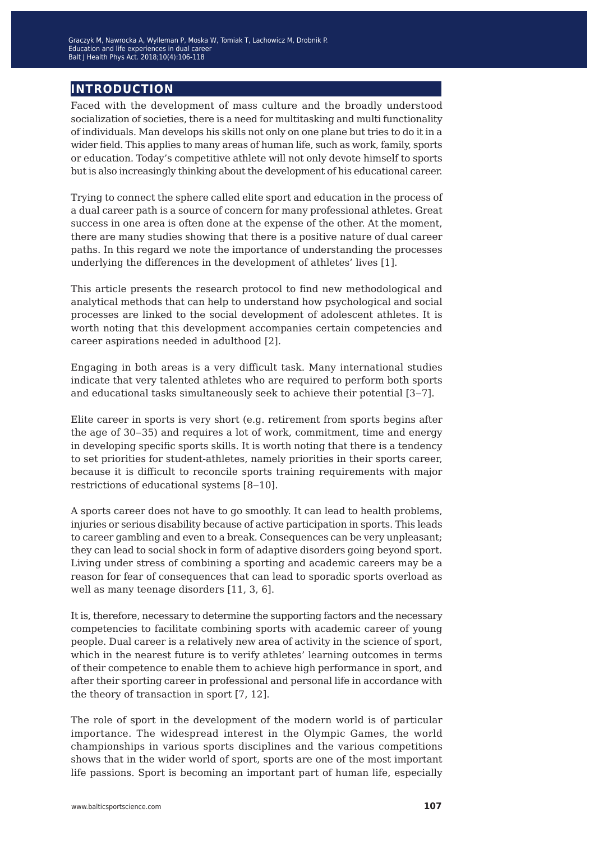#### **introduction**

Faced with the development of mass culture and the broadly understood socialization of societies, there is a need for multitasking and multi functionality of individuals. Man develops his skills not only on one plane but tries to do it in a wider field. This applies to many areas of human life, such as work, family, sports or education. Today's competitive athlete will not only devote himself to sports but is also increasingly thinking about the development of his educational career.

Trying to connect the sphere called elite sport and education in the process of a dual career path is a source of concern for many professional athletes. Great success in one area is often done at the expense of the other. At the moment, there are many studies showing that there is a positive nature of dual career paths. In this regard we note the importance of understanding the processes underlying the differences in the development of athletes' lives [1].

This article presents the research protocol to find new methodological and analytical methods that can help to understand how psychological and social processes are linked to the social development of adolescent athletes. It is worth noting that this development accompanies certain competencies and career aspirations needed in adulthood [2].

Engaging in both areas is a very difficult task. Many international studies indicate that very talented athletes who are required to perform both sports and educational tasks simultaneously seek to achieve their potential [3‒7].

Elite career in sports is very short (e.g. retirement from sports begins after the age of 30–35) and requires a lot of work, commitment, time and energy in developing specific sports skills. It is worth noting that there is a tendency to set priorities for student-athletes, namely priorities in their sports career, because it is difficult to reconcile sports training requirements with major restrictions of educational systems  $[8-10]$ .

A sports career does not have to go smoothly. It can lead to health problems, injuries or serious disability because of active participation in sports. This leads to career gambling and even to a break. Consequences can be very unpleasant; they can lead to social shock in form of adaptive disorders going beyond sport. Living under stress of combining a sporting and academic careers may be a reason for fear of consequences that can lead to sporadic sports overload as well as many teenage disorders [11, 3, 6].

It is, therefore, necessary to determine the supporting factors and the necessary competencies to facilitate combining sports with academic career of young people. Dual career is a relatively new area of activity in the science of sport, which in the nearest future is to verify athletes' learning outcomes in terms of their competence to enable them to achieve high performance in sport, and after their sporting career in professional and personal life in accordance with the theory of transaction in sport [7, 12].

The role of sport in the development of the modern world is of particular importance. The widespread interest in the Olympic Games, the world championships in various sports disciplines and the various competitions shows that in the wider world of sport, sports are one of the most important life passions. Sport is becoming an important part of human life, especially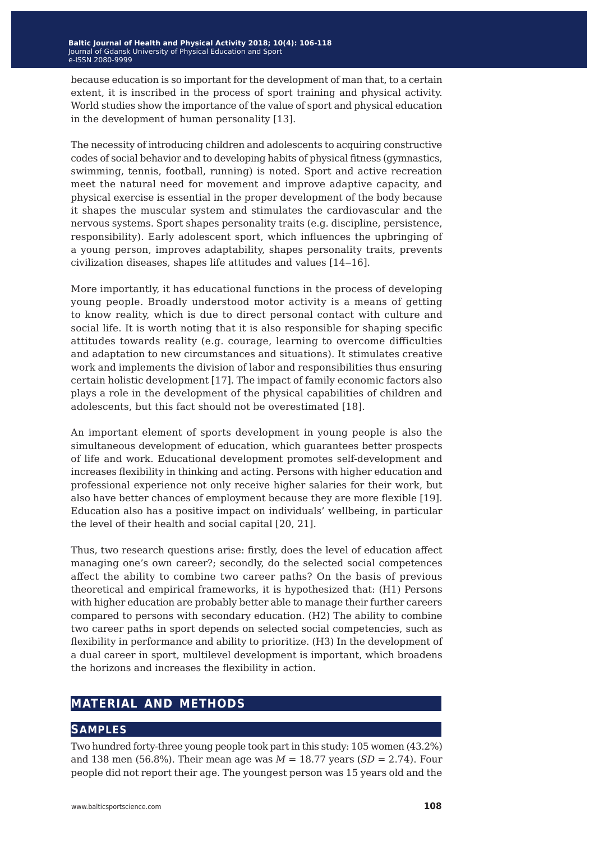because education is so important for the development of man that, to a certain extent, it is inscribed in the process of sport training and physical activity. World studies show the importance of the value of sport and physical education in the development of human personality [13].

The necessity of introducing children and adolescents to acquiring constructive codes of social behavior and to developing habits of physical fitness (gymnastics, swimming, tennis, football, running) is noted. Sport and active recreation meet the natural need for movement and improve adaptive capacity, and physical exercise is essential in the proper development of the body because it shapes the muscular system and stimulates the cardiovascular and the nervous systems. Sport shapes personality traits (e.g. discipline, persistence, responsibility). Early adolescent sport, which influences the upbringing of a young person, improves adaptability, shapes personality traits, prevents civilization diseases, shapes life attitudes and values [14‒16].

More importantly, it has educational functions in the process of developing young people. Broadly understood motor activity is a means of getting to know reality, which is due to direct personal contact with culture and social life. It is worth noting that it is also responsible for shaping specific attitudes towards reality (e.g. courage, learning to overcome difficulties and adaptation to new circumstances and situations). It stimulates creative work and implements the division of labor and responsibilities thus ensuring certain holistic development [17]. The impact of family economic factors also plays a role in the development of the physical capabilities of children and adolescents, but this fact should not be overestimated [18].

An important element of sports development in young people is also the simultaneous development of education, which guarantees better prospects of life and work. Educational development promotes self-development and increases flexibility in thinking and acting. Persons with higher education and professional experience not only receive higher salaries for their work, but also have better chances of employment because they are more flexible [19]. Education also has a positive impact on individuals' wellbeing, in particular the level of their health and social capital [20, 21].

Thus, two research questions arise: firstly, does the level of education affect managing one's own career?; secondly, do the selected social competences affect the ability to combine two career paths? On the basis of previous theoretical and empirical frameworks, it is hypothesized that: (H1) Persons with higher education are probably better able to manage their further careers compared to persons with secondary education. (H2) The ability to combine two career paths in sport depends on selected social competencies, such as flexibility in performance and ability to prioritize. (H3) In the development of a dual career in sport, multilevel development is important, which broadens the horizons and increases the flexibility in action.

#### **material and methods**

#### **samples**

Two hundred forty-three young people took part in this study: 105 women (43.2%) and 138 men (56.8%). Their mean age was *M* = 18.77 years (*SD* = 2.74). Four people did not report their age. The youngest person was 15 years old and the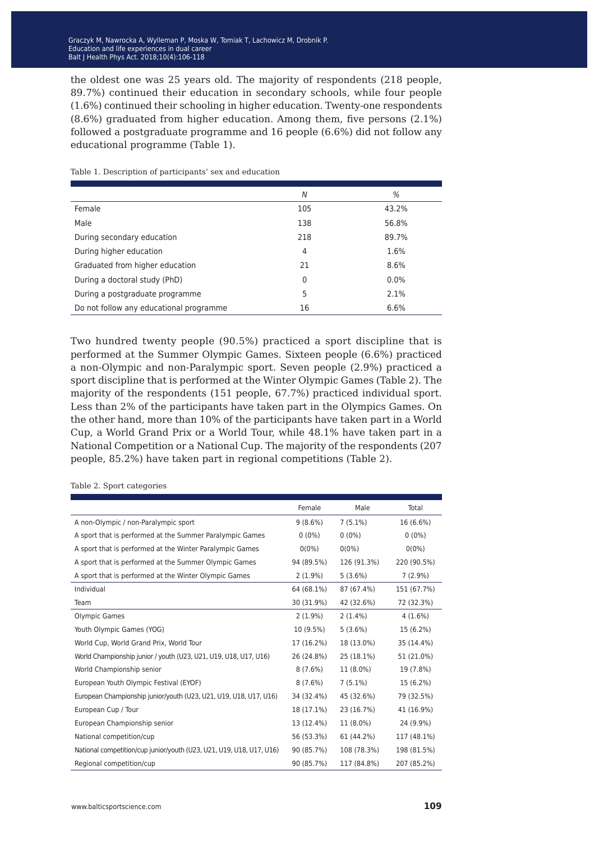the oldest one was 25 years old. The majority of respondents (218 people, 89.7%) continued their education in secondary schools, while four people (1.6%) continued their schooling in higher education. Twenty-one respondents (8.6%) graduated from higher education. Among them, five persons (2.1%) followed a postgraduate programme and 16 people (6.6%) did not follow any educational programme (Table 1).

|                                         | N   | %       |
|-----------------------------------------|-----|---------|
| Female                                  | 105 | 43.2%   |
| Male                                    | 138 | 56.8%   |
| During secondary education              | 218 | 89.7%   |
| During higher education                 | 4   | 1.6%    |
| Graduated from higher education         | 21  | 8.6%    |
| During a doctoral study (PhD)           | 0   | $0.0\%$ |
| During a postgraduate programme         | 5   | 2.1%    |
| Do not follow any educational programme | 16  | 6.6%    |

Table 1. Description of participants' sex and education

Two hundred twenty people (90.5%) practiced a sport discipline that is performed at the Summer Olympic Games. Sixteen people (6.6%) practiced a non-Olympic and non-Paralympic sport. Seven people (2.9%) practiced a sport discipline that is performed at the Winter Olympic Games (Table 2). The majority of the respondents (151 people, 67.7%) practiced individual sport. Less than 2% of the participants have taken part in the Olympics Games. On the other hand, more than 10% of the participants have taken part in a World Cup, a World Grand Prix or a World Tour, while 48.1% have taken part in a National Competition or a National Cup. The majority of the respondents (207 people, 85.2%) have taken part in regional competitions (Table 2).

|                                                                      | Female     | Male        | Total       |
|----------------------------------------------------------------------|------------|-------------|-------------|
| A non-Olympic / non-Paralympic sport                                 | $9(8.6\%)$ | $7(5.1\%)$  | 16 (6.6%)   |
| A sport that is performed at the Summer Paralympic Games             | $0(0\%)$   | $0(0\%)$    | $0(0\%)$    |
| A sport that is performed at the Winter Paralympic Games             | $0(0\%)$   | $0(0\%)$    | $0(0\%)$    |
| A sport that is performed at the Summer Olympic Games                | 94 (89.5%) | 126 (91.3%) | 220 (90.5%) |
| A sport that is performed at the Winter Olympic Games                | $2(1.9\%)$ | 5(3.6%)     | $7(2.9\%)$  |
| Individual                                                           | 64 (68.1%) | 87 (67.4%)  | 151 (67.7%) |
| Team                                                                 | 30 (31.9%) | 42 (32.6%)  | 72 (32.3%)  |
| Olympic Games                                                        | $2(1.9\%)$ | $2(1.4\%)$  | $4(1.6\%)$  |
| Youth Olympic Games (YOG)                                            | 10 (9.5%)  | 5(3.6%)     | 15 (6.2%)   |
| World Cup, World Grand Prix, World Tour                              | 17 (16.2%) | 18 (13.0%)  | 35 (14.4%)  |
| World Championship junior / youth (U23, U21, U19, U18, U17, U16)     | 26 (24.8%) | 25 (18.1%)  | 51 (21.0%)  |
| World Championship senior                                            | $8(7.6\%)$ | 11 (8.0%)   | 19 (7.8%)   |
| European Youth Olympic Festival (EYOF)                               | $8(7.6\%)$ | $7(5.1\%)$  | 15 (6.2%)   |
| European Championship junior/youth (U23, U21, U19, U18, U17, U16)    | 34 (32.4%) | 45 (32.6%)  | 79 (32.5%)  |
| European Cup / Tour                                                  | 18 (17.1%) | 23 (16.7%)  | 41 (16.9%)  |
| European Championship senior                                         | 13 (12.4%) | 11 (8.0%)   | 24 (9.9%)   |
| National competition/cup                                             | 56 (53.3%) | 61 (44.2%)  | 117 (48.1%) |
| National competition/cup junior/youth (U23, U21, U19, U18, U17, U16) | 90 (85.7%) | 108 (78.3%) | 198 (81.5%) |
| Regional competition/cup                                             | 90 (85.7%) | 117 (84.8%) | 207 (85.2%) |

Table 2. Sport categories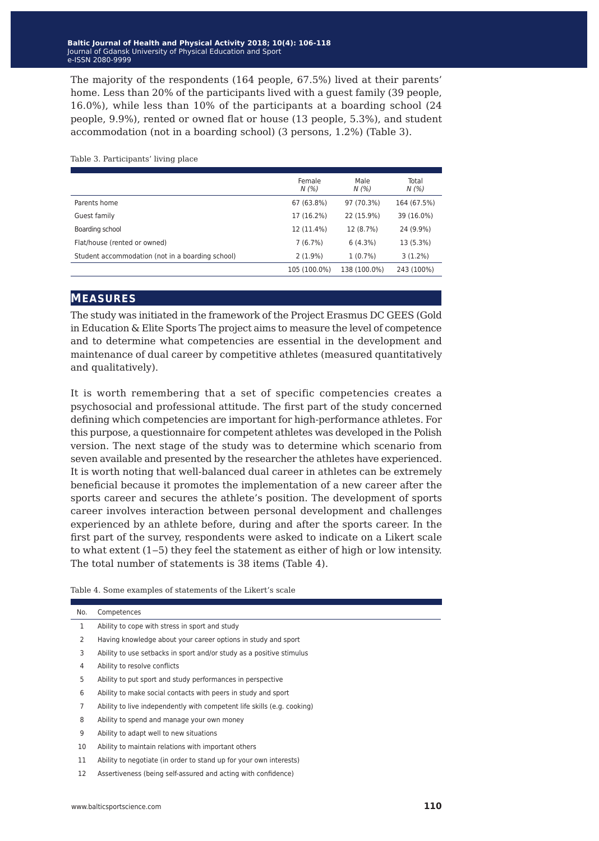The majority of the respondents (164 people, 67.5%) lived at their parents' home. Less than 20% of the participants lived with a guest family (39 people, 16.0%), while less than 10% of the participants at a boarding school (24 people, 9.9%), rented or owned flat or house (13 people, 5.3%), and student accommodation (not in a boarding school) (3 persons, 1.2%) (Table 3).

|                                                  | Female<br>N(%) | Male<br>N(%) | Total<br>N(%) |
|--------------------------------------------------|----------------|--------------|---------------|
| Parents home                                     | 67 (63.8%)     | 97 (70.3%)   | 164 (67.5%)   |
| Guest family                                     | 17 (16.2%)     | 22 (15.9%)   | 39 (16.0%)    |
| Boarding school                                  | 12 (11.4%)     | 12 (8.7%)    | 24 (9.9%)     |
| Flat/house (rented or owned)                     | 7(6.7%)        | 6(4.3%)      | 13 (5.3%)     |
| Student accommodation (not in a boarding school) | $2(1.9\%)$     | $1(0.7\%)$   | $3(1.2\%)$    |
|                                                  | 105 (100.0%)   | 138 (100.0%) | 243 (100%)    |
|                                                  |                |              |               |

Table 3. Participants' living place

#### **measures**

The study was initiated in the framework of the Project Erasmus DC GEES (Gold in Education & Elite Sports The project aims to measure the level of competence and to determine what competencies are essential in the development and maintenance of dual career by competitive athletes (measured quantitatively and qualitatively).

It is worth remembering that a set of specific competencies creates a psychosocial and professional attitude. The first part of the study concerned defining which competencies are important for high-performance athletes. For this purpose, a questionnaire for competent athletes was developed in the Polish version. The next stage of the study was to determine which scenario from seven available and presented by the researcher the athletes have experienced. It is worth noting that well-balanced dual career in athletes can be extremely beneficial because it promotes the implementation of a new career after the sports career and secures the athlete's position. The development of sports career involves interaction between personal development and challenges experienced by an athlete before, during and after the sports career. In the first part of the survey, respondents were asked to indicate on a Likert scale to what extent (1‒5) they feel the statement as either of high or low intensity. The total number of statements is 38 items (Table 4).

Table 4. Some examples of statements of the Likert's scale

| No.            | Competences                                                             |
|----------------|-------------------------------------------------------------------------|
| 1              | Ability to cope with stress in sport and study                          |
| 2              | Having knowledge about your career options in study and sport           |
| 3              | Ability to use setbacks in sport and/or study as a positive stimulus    |
| 4              | Ability to resolve conflicts                                            |
| 5              | Ability to put sport and study performances in perspective              |
| 6              | Ability to make social contacts with peers in study and sport           |
| $\overline{7}$ | Ability to live independently with competent life skills (e.g. cooking) |
| 8              | Ability to spend and manage your own money                              |
| 9              | Ability to adapt well to new situations                                 |
| 10             | Ability to maintain relations with important others                     |
| 11             | Ability to negotiate (in order to stand up for your own interests)      |
| 12             | Assertiveness (being self-assured and acting with confidence)           |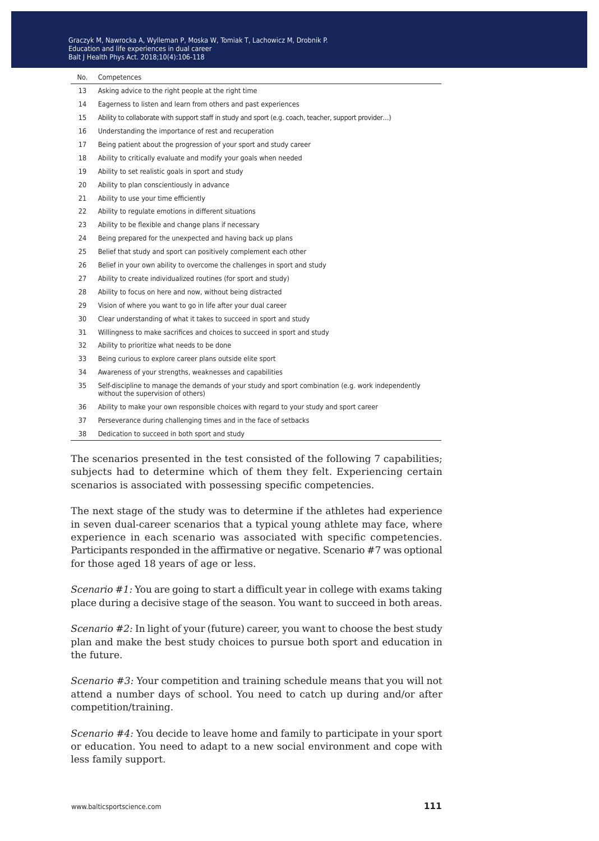#### No. Competences

- 13 Asking advice to the right people at the right time
- 14 Eagerness to listen and learn from others and past experiences
- 15 Ability to collaborate with support staff in study and sport (e.g. coach, teacher, support provider…)
- 16 Understanding the importance of rest and recuperation
- 17 Being patient about the progression of your sport and study career
- 18 Ability to critically evaluate and modify your goals when needed
- 19 Ability to set realistic goals in sport and study
- 20 Ability to plan conscientiously in advance
- 21 Ability to use your time efficiently
- 22 Ability to regulate emotions in different situations
- 23 Ability to be flexible and change plans if necessary
- 24 Being prepared for the unexpected and having back up plans
- 25 Belief that study and sport can positively complement each other
- 26 Belief in your own ability to overcome the challenges in sport and study
- 27 Ability to create individualized routines (for sport and study)
- 28 Ability to focus on here and now, without being distracted
- 29 Vision of where you want to go in life after your dual career
- 30 Clear understanding of what it takes to succeed in sport and study
- 31 Willingness to make sacrifices and choices to succeed in sport and study
- 32 Ability to prioritize what needs to be done
- 33 Being curious to explore career plans outside elite sport
- 34 Awareness of your strengths, weaknesses and capabilities
- 35 Self-discipline to manage the demands of your study and sport combination (e.g. work independently without the supervision of others)
- 36 Ability to make your own responsible choices with regard to your study and sport career
- 37 Perseverance during challenging times and in the face of setbacks
- 38 Dedication to succeed in both sport and study

The scenarios presented in the test consisted of the following 7 capabilities; subjects had to determine which of them they felt. Experiencing certain scenarios is associated with possessing specific competencies.

The next stage of the study was to determine if the athletes had experience in seven dual-career scenarios that a typical young athlete may face, where experience in each scenario was associated with specific competencies. Participants responded in the affirmative or negative. Scenario #7 was optional for those aged 18 years of age or less.

*Scenario #1:* You are going to start a difficult year in college with exams taking place during a decisive stage of the season. You want to succeed in both areas.

*Scenario #2:* In light of your (future) career, you want to choose the best study plan and make the best study choices to pursue both sport and education in the future.

*Scenario #3:* Your competition and training schedule means that you will not attend a number days of school. You need to catch up during and/or after competition/training.

*Scenario #4:* You decide to leave home and family to participate in your sport or education. You need to adapt to a new social environment and cope with less family support.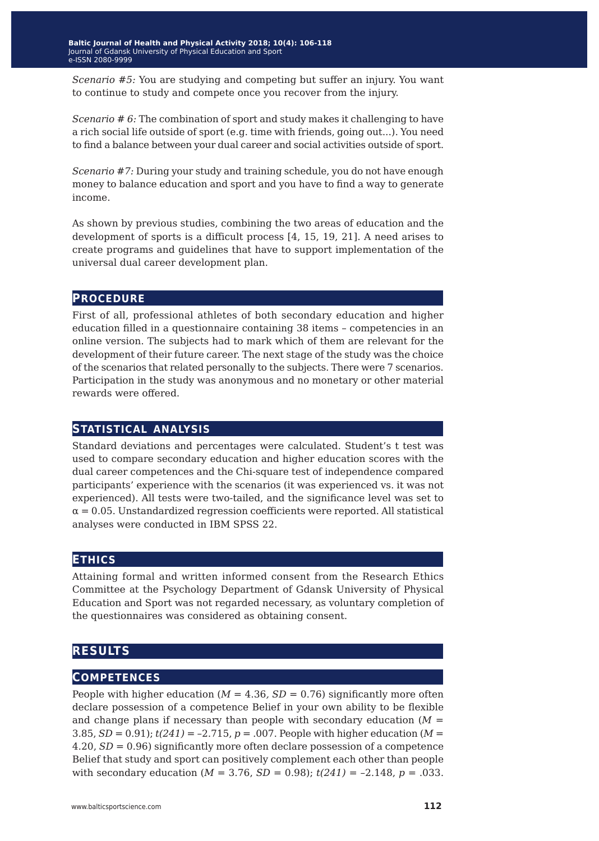*Scenario #5:* You are studying and competing but suffer an injury. You want to continue to study and compete once you recover from the injury.

*Scenario # 6:* The combination of sport and study makes it challenging to have a rich social life outside of sport (e.g. time with friends, going out...). You need to find a balance between your dual career and social activities outside of sport.

*Scenario #7:* During your study and training schedule, you do not have enough money to balance education and sport and you have to find a way to generate income.

As shown by previous studies, combining the two areas of education and the development of sports is a difficult process [4, 15, 19, 21]. A need arises to create programs and guidelines that have to support implementation of the universal dual career development plan.

#### **procedure**

First of all, professional athletes of both secondary education and higher education filled in a questionnaire containing 38 items – competencies in an online version. The subjects had to mark which of them are relevant for the development of their future career. The next stage of the study was the choice of the scenarios that related personally to the subjects. There were 7 scenarios. Participation in the study was anonymous and no monetary or other material rewards were offered.

#### **statistical analysis**

Standard deviations and percentages were calculated. Student's t test was used to compare secondary education and higher education scores with the dual career competences and the Chi-square test of independence compared participants' experience with the scenarios (it was experienced vs. it was not experienced). All tests were two-tailed, and the significance level was set to  $\alpha = 0.05$ . Unstandardized regression coefficients were reported. All statistical analyses were conducted in IBM SPSS 22.

#### **ethics**

Attaining formal and written informed consent from the Research Ethics Committee at the Psychology Department of Gdansk University of Physical Education and Sport was not regarded necessary, as voluntary completion of the questionnaires was considered as obtaining consent.

### **results**

#### **competences**

People with higher education ( $M = 4.36$ ,  $SD = 0.76$ ) significantly more often declare possession of a competence Belief in your own ability to be flexible and change plans if necessary than people with secondary education (*M =*  3.85, *SD =* 0.91); *t(241)* = –2.715, *p* = .007. People with higher education (*M* = 4.20, *SD* = 0.96) significantly more often declare possession of a competence Belief that study and sport can positively complement each other than people with secondary education ( $M = 3.76$ ,  $SD = 0.98$ );  $t(241) = -2.148$ ,  $p = .033$ .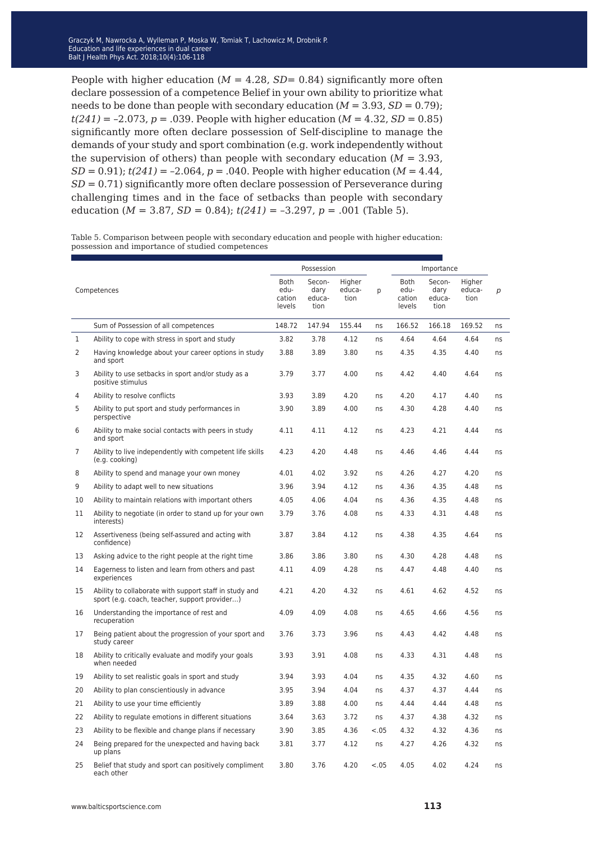People with higher education ( $M = 4.28$ ,  $SD = 0.84$ ) significantly more often declare possession of a competence Belief in your own ability to prioritize what needs to be done than people with secondary education  $(M = 3.93, SD = 0.79)$ ;  $t(241) = -2.073$ ,  $p = .039$ . People with higher education ( $M = 4.32$ ,  $SD = 0.85$ ) significantly more often declare possession of Self-discipline to manage the demands of your study and sport combination (e.g. work independently without the supervision of others) than people with secondary education  $(M = 3.93)$ , *SD* = 0.91); *t(241)* = –2.064, *p* = .040. People with higher education (*M* = 4.44, *SD* = 0.71) significantly more often declare possession of Perseverance during challenging times and in the face of setbacks than people with secondary education (*M* = 3.87, *SD* = 0.84); *t(241)* = –3.297, *p* = .001 (Table 5).

Table 5. Comparison between people with secondary education and people with higher education: possession and importance of studied competences

|    |                                                                                                         |                                  | Possession                       |                          |        | Importance                       |                                  |                          |    |
|----|---------------------------------------------------------------------------------------------------------|----------------------------------|----------------------------------|--------------------------|--------|----------------------------------|----------------------------------|--------------------------|----|
|    | Competences                                                                                             | Both<br>edu-<br>cation<br>levels | Secon-<br>dary<br>educa-<br>tion | Higher<br>educa-<br>tion | p      | Both<br>edu-<br>cation<br>levels | Secon-<br>dary<br>educa-<br>tion | Higher<br>educa-<br>tion | р  |
|    | Sum of Possession of all competences                                                                    | 148.72                           | 147.94                           | 155.44                   | ns     | 166.52                           | 166.18                           | 169.52                   | ns |
| 1  | Ability to cope with stress in sport and study                                                          | 3.82                             | 3.78                             | 4.12                     | ns     | 4.64                             | 4.64                             | 4.64                     | ns |
| 2  | Having knowledge about your career options in study<br>and sport                                        | 3.88                             | 3.89                             | 3.80                     | ns     | 4.35                             | 4.35                             | 4.40                     | ns |
| 3  | Ability to use setbacks in sport and/or study as a<br>positive stimulus                                 | 3.79                             | 3.77                             | 4.00                     | ns     | 4.42                             | 4.40                             | 4.64                     | ns |
| 4  | Ability to resolve conflicts                                                                            | 3.93                             | 3.89                             | 4.20                     | ns     | 4.20                             | 4.17                             | 4.40                     | ns |
| 5  | Ability to put sport and study performances in<br>perspective                                           | 3.90                             | 3.89                             | 4.00                     | ns     | 4.30                             | 4.28                             | 4.40                     | ns |
| 6  | Ability to make social contacts with peers in study<br>and sport                                        | 4.11                             | 4.11                             | 4.12                     | ns     | 4.23                             | 4.21                             | 4.44                     | ns |
| 7  | Ability to live independently with competent life skills<br>(e.g. cooking)                              | 4.23                             | 4.20                             | 4.48                     | ns     | 4.46                             | 4.46                             | 4.44                     | ns |
| 8  | Ability to spend and manage your own money                                                              | 4.01                             | 4.02                             | 3.92                     | ns     | 4.26                             | 4.27                             | 4.20                     | ns |
| 9  | Ability to adapt well to new situations                                                                 | 3.96                             | 3.94                             | 4.12                     | ns     | 4.36                             | 4.35                             | 4.48                     | ns |
| 10 | Ability to maintain relations with important others                                                     | 4.05                             | 4.06                             | 4.04                     | ns     | 4.36                             | 4.35                             | 4.48                     | ns |
| 11 | Ability to negotiate (in order to stand up for your own<br>interests)                                   | 3.79                             | 3.76                             | 4.08                     | ns     | 4.33                             | 4.31                             | 4.48                     | ns |
| 12 | Assertiveness (being self-assured and acting with<br>confidence)                                        | 3.87                             | 3.84                             | 4.12                     | ns     | 4.38                             | 4.35                             | 4.64                     | ns |
| 13 | Asking advice to the right people at the right time                                                     | 3.86                             | 3.86                             | 3.80                     | ns     | 4.30                             | 4.28                             | 4.48                     | ns |
| 14 | Eagerness to listen and learn from others and past<br>experiences                                       | 4.11                             | 4.09                             | 4.28                     | ns     | 4.47                             | 4.48                             | 4.40                     | ns |
| 15 | Ability to collaborate with support staff in study and<br>sport (e.g. coach, teacher, support provider) | 4.21                             | 4.20                             | 4.32                     | ns     | 4.61                             | 4.62                             | 4.52                     | ns |
| 16 | Understanding the importance of rest and<br>recuperation                                                | 4.09                             | 4.09                             | 4.08                     | ns     | 4.65                             | 4.66                             | 4.56                     | ns |
| 17 | Being patient about the progression of your sport and<br>study career                                   | 3.76                             | 3.73                             | 3.96                     | ns     | 4.43                             | 4.42                             | 4.48                     | ns |
| 18 | Ability to critically evaluate and modify your goals<br>when needed                                     | 3.93                             | 3.91                             | 4.08                     | ns     | 4.33                             | 4.31                             | 4.48                     | ns |
| 19 | Ability to set realistic goals in sport and study                                                       | 3.94                             | 3.93                             | 4.04                     | ns     | 4.35                             | 4.32                             | 4.60                     | ns |
| 20 | Ability to plan conscientiously in advance                                                              | 3.95                             | 3.94                             | 4.04                     | ns     | 4.37                             | 4.37                             | 4.44                     | ns |
| 21 | Ability to use your time efficiently                                                                    | 3.89                             | 3.88                             | 4.00                     | ns     | 4.44                             | 4.44                             | 4.48                     | ns |
| 22 | Ability to regulate emotions in different situations                                                    | 3.64                             | 3.63                             | 3.72                     | ns     | 4.37                             | 4.38                             | 4.32                     | ns |
| 23 | Ability to be flexible and change plans if necessary                                                    | 3.90                             | 3.85                             | 4.36                     | $-.05$ | 4.32                             | 4.32                             | 4.36                     | ns |
| 24 | Being prepared for the unexpected and having back<br>up plans                                           | 3.81                             | 3.77                             | 4.12                     | ns     | 4.27                             | 4.26                             | 4.32                     | ns |
| 25 | Belief that study and sport can positively compliment<br>each other                                     | 3.80                             | 3.76                             | 4.20                     | $-.05$ | 4.05                             | 4.02                             | 4.24                     | ns |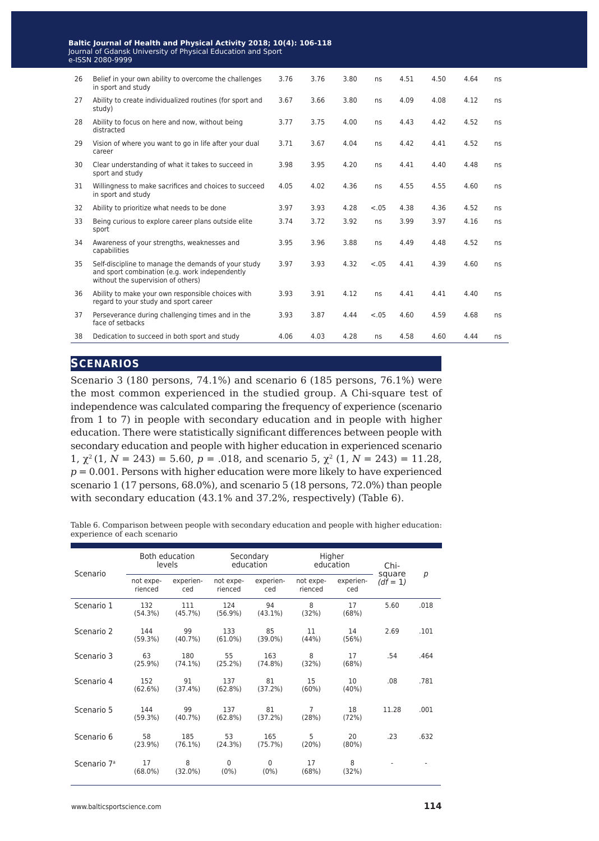| Baltic Journal of Health and Physical Activity 2018; 10(4): 106-118 |  |
|---------------------------------------------------------------------|--|
| Journal of Gdansk University of Physical Education and Sport        |  |
| e-ISSN 2080-9999                                                    |  |

| 26 | Belief in your own ability to overcome the challenges<br>in sport and study                                                                 | 3.76 | 3.76 | 3.80 | ns     | 4.51 | 4.50 | 4.64 | ns |
|----|---------------------------------------------------------------------------------------------------------------------------------------------|------|------|------|--------|------|------|------|----|
| 27 | Ability to create individualized routines (for sport and<br>study)                                                                          | 3.67 | 3.66 | 3.80 | ns     | 4.09 | 4.08 | 4.12 | ns |
| 28 | Ability to focus on here and now, without being<br>distracted                                                                               | 3.77 | 3.75 | 4.00 | ns     | 4.43 | 4.42 | 4.52 | ns |
| 29 | Vision of where you want to go in life after your dual<br>career                                                                            | 3.71 | 3.67 | 4.04 | ns     | 4.42 | 4.41 | 4.52 | ns |
| 30 | Clear understanding of what it takes to succeed in<br>sport and study                                                                       | 3.98 | 3.95 | 4.20 | ns     | 4.41 | 4.40 | 4.48 | ns |
| 31 | Willingness to make sacrifices and choices to succeed<br>in sport and study                                                                 | 4.05 | 4.02 | 4.36 | ns     | 4.55 | 4.55 | 4.60 | ns |
| 32 | Ability to prioritize what needs to be done                                                                                                 | 3.97 | 3.93 | 4.28 | $-.05$ | 4.38 | 4.36 | 4.52 | ns |
| 33 | Being curious to explore career plans outside elite<br>sport                                                                                | 3.74 | 3.72 | 3.92 | ns     | 3.99 | 3.97 | 4.16 | ns |
| 34 | Awareness of your strengths, weaknesses and<br>capabilities                                                                                 | 3.95 | 3.96 | 3.88 | ns     | 4.49 | 4.48 | 4.52 | ns |
| 35 | Self-discipline to manage the demands of your study<br>and sport combination (e.g. work independently<br>without the supervision of others) | 3.97 | 3.93 | 4.32 | $-.05$ | 4.41 | 4.39 | 4.60 | ns |
| 36 | Ability to make your own responsible choices with<br>regard to your study and sport career                                                  | 3.93 | 3.91 | 4.12 | ns     | 4.41 | 4.41 | 4.40 | ns |
| 37 | Perseverance during challenging times and in the<br>face of setbacks                                                                        | 3.93 | 3.87 | 4.44 | $-.05$ | 4.60 | 4.59 | 4.68 | ns |
| 38 | Dedication to succeed in both sport and study                                                                                               | 4.06 | 4.03 | 4.28 | ns     | 4.58 | 4.60 | 4.44 | ns |

#### **scenarios**

Scenario 3 (180 persons, 74.1%) and scenario 6 (185 persons, 76.1%) were the most common experienced in the studied group. A Chi-square test of independence was calculated comparing the frequency of experience (scenario from 1 to 7) in people with secondary education and in people with higher education. There were statistically significant differences between people with secondary education and people with higher education in experienced scenario 1,  $\chi^2(1, N = 243) = 5.60$ ,  $p = .018$ , and scenario 5,  $\chi^2(1, N = 243) = 11.28$ ,  $p = 0.001$ . Persons with higher education were more likely to have experienced scenario 1 (17 persons, 68.0%), and scenario 5 (18 persons, 72.0%) than people with secondary education (43.1% and 37.2%, respectively) (Table 6).

Table 6. Comparison between people with secondary education and people with higher education: experience of each scenario

| Scenario                | <b>Both education</b><br>levels |                   | Secondary<br>education |                     |                         | Higher<br>education | Chi-                 |      |
|-------------------------|---------------------------------|-------------------|------------------------|---------------------|-------------------------|---------------------|----------------------|------|
|                         | not expe-<br>rienced            | experien-<br>ced  | not expe-<br>rienced   | experien-<br>ced    | not expe-<br>rienced    | experien-<br>ced    | square<br>$(df = 1)$ | p    |
| Scenario 1              | 132<br>(54.3%)                  | 111<br>(45.7%)    | 124<br>$(56.9\%)$      | 94<br>$(43.1\%)$    | 8<br>(32%)              | 17<br>(68%)         | 5.60                 | .018 |
| Scenario 2              | 144<br>(59.3%)                  | 99<br>(40.7%)     | 133<br>$(61.0\%)$      | 85<br>$(39.0\%)$    | 11<br>(44% )            | 14<br>(56%)         | 2.69                 | .101 |
| Scenario 3              | 63<br>$(25.9\%)$                | 180<br>$(74.1\%)$ | 55<br>(25.2%)          | 163<br>$(74.8\%)$   | 8<br>(32%)              | 17<br>(68%)         | .54                  | .464 |
| Scenario 4              | 152<br>(62.6%)                  | 91<br>$(37.4\%)$  | 137<br>$(62.8\%)$      | 81<br>(37.2%)       | 15<br>(60%)             | 10<br>(40%)         | .08                  | .781 |
| Scenario 5              | 144<br>(59.3%)                  | 99<br>(40.7%)     | 137<br>(62.8%)         | 81<br>(37.2%)       | $\overline{7}$<br>(28%) | 18<br>(72%)         | 11.28                | .001 |
| Scenario 6              | 58<br>$(23.9\%)$                | 185<br>$(76.1\%)$ | 53<br>(24.3%)          | 165<br>(75.7%)      | 5<br>(20%)              | 20<br>(80%)         | .23                  | .632 |
| Scenario 7 <sup>ª</sup> | 17<br>$(68.0\%)$                | 8<br>$(32.0\%)$   | $\Omega$<br>$(0\%)$    | $\Omega$<br>$(0\%)$ | 17<br>(68%)             | 8<br>(32%)          |                      |      |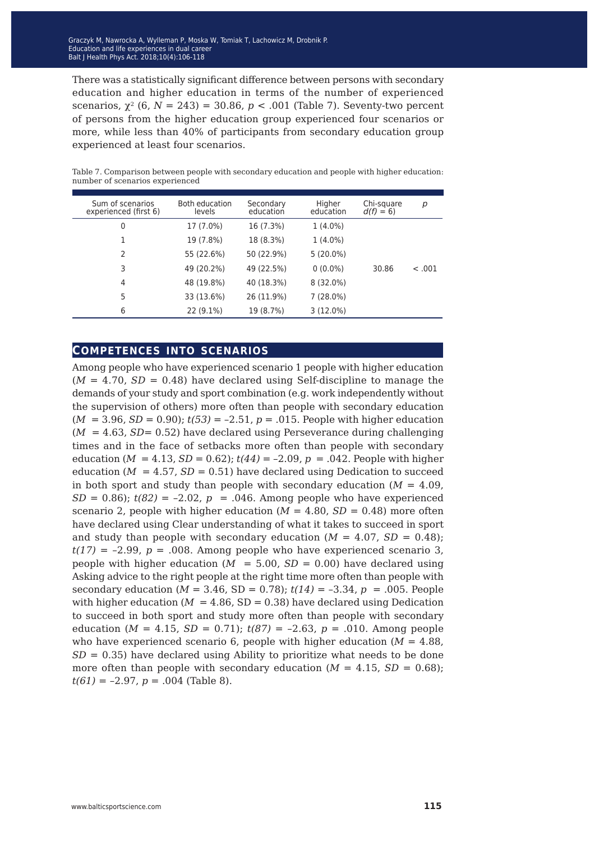There was a statistically significant difference between persons with secondary education and higher education in terms of the number of experienced scenarios,  $\chi^2$  (6,  $N = 243$ ) = 30.86,  $p < .001$  (Table 7). Seventy-two percent of persons from the higher education group experienced four scenarios or more, while less than 40% of participants from secondary education group experienced at least four scenarios.

| Sum of scenarios<br>experienced (first 6) | <b>Both education</b><br>levels | Secondary<br>education | Higher<br>education | Chi-square<br>$d(f) = 6$ | р       |
|-------------------------------------------|---------------------------------|------------------------|---------------------|--------------------------|---------|
| 0                                         | 17 (7.0%)                       | 16 (7.3%)              | $1(4.0\%)$          |                          |         |
| 1                                         | 19 (7.8%)                       | 18 (8.3%)              | $1(4.0\%)$          |                          |         |
| 2                                         | 55 (22.6%)                      | 50 (22.9%)             | $5(20.0\%)$         |                          |         |
| 3                                         | 49 (20.2%)                      | 49 (22.5%)             | $0(0.0\%)$          | 30.86                    | < 0.001 |
| 4                                         | 48 (19.8%)                      | 40 (18.3%)             | $8(32.0\%)$         |                          |         |
| 5                                         | 33 (13.6%)                      | 26 (11.9%)             | 7 (28.0%)           |                          |         |
| 6                                         | 22 (9.1%)                       | 19 (8.7%)              | $3(12.0\%)$         |                          |         |

Table 7. Comparison between people with secondary education and people with higher education: number of scenarios experienced

#### **competences into scenarios**

Among people who have experienced scenario 1 people with higher education  $(M = 4.70, SD = 0.48)$  have declared using Self-discipline to manage the demands of your study and sport combination (e.g. work independently without the supervision of others) more often than people with secondary education  $(M = 3.96, SD = 0.90)$ ;  $t(53) = -2.51$ ,  $p = .015$ . People with higher education  $(M = 4.63, SD = 0.52)$  have declared using Perseverance during challenging times and in the face of setbacks more often than people with secondary education ( $M = 4.13$ ,  $SD = 0.62$ );  $t(44) = -2.09$ ,  $p = 0.042$ . People with higher education ( $M = 4.57$ ,  $SD = 0.51$ ) have declared using Dedication to succeed in both sport and study than people with secondary education  $(M = 4.09)$ , *SD* = 0.86);  $t(82) = -2.02$ ,  $p = .046$ . Among people who have experienced scenario 2, people with higher education  $(M = 4.80, SD = 0.48)$  more often have declared using Clear understanding of what it takes to succeed in sport and study than people with secondary education  $(M = 4.07, SD = 0.48)$ ;  $t(17) = -2.99$ ,  $p = .008$ . Among people who have experienced scenario 3, people with higher education ( $M = 5.00$ ,  $SD = 0.00$ ) have declared using Asking advice to the right people at the right time more often than people with secondary education (*M* = 3.46, SD = 0.78); *t(14)* = –3.34, *p* = .005. People with higher education ( $M = 4.86$ , SD = 0.38) have declared using Dedication to succeed in both sport and study more often than people with secondary education ( $M = 4.15$ ,  $SD = 0.71$ );  $t(87) = -2.63$ ,  $p = .010$ . Among people who have experienced scenario 6, people with higher education  $(M = 4.88)$ , *SD* = 0.35) have declared using Ability to prioritize what needs to be done more often than people with secondary education  $(M = 4.15, SD = 0.68)$ ; *t(61)* = –2.97, *p* = .004 (Table 8).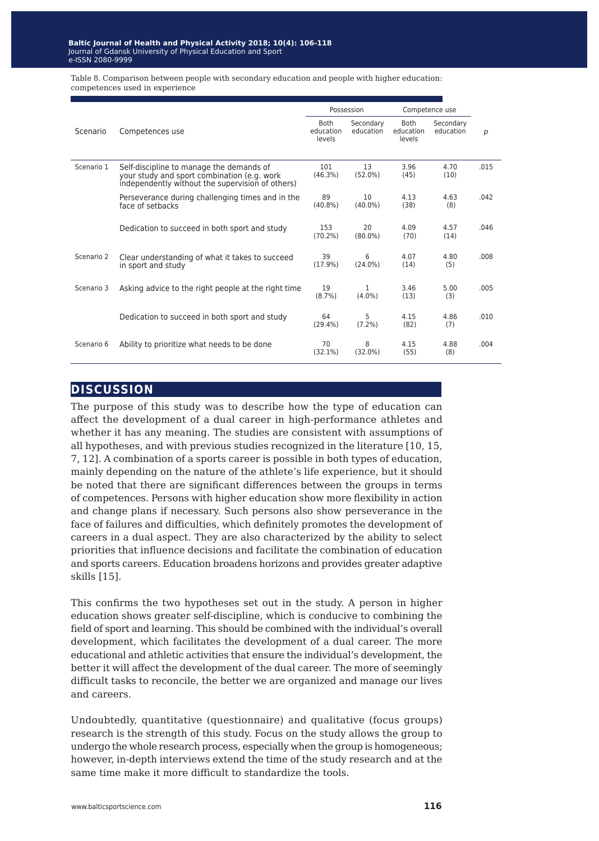Table 8. Comparison between people with secondary education and people with higher education: competences used in experience

|            |                                                                                                                                             |                                    | Possession             |                                    | Competence use         |      |
|------------|---------------------------------------------------------------------------------------------------------------------------------------------|------------------------------------|------------------------|------------------------------------|------------------------|------|
| Scenario   | Competences use                                                                                                                             | <b>Both</b><br>education<br>levels | Secondary<br>education | <b>Both</b><br>education<br>levels | Secondary<br>education | p    |
| Scenario 1 | Self-discipline to manage the demands of<br>your study and sport combination (e.g. work<br>independently without the supervision of others) | 101<br>(46.3%)                     | 13<br>$(52.0\%)$       | 3.96<br>(45)                       | 4.70<br>(10)           | .015 |
|            | Perseverance during challenging times and in the<br>face of setbacks                                                                        | 89<br>$(40.8\%)$                   | 10<br>$(40.0\%)$       | 4.13<br>(38)                       | 4.63<br>(8)            | .042 |
|            | Dedication to succeed in both sport and study                                                                                               | 153<br>$(70.2\%)$                  | 20<br>$(80.0\%)$       | 4.09<br>(70)                       | 4.57<br>(14)           | .046 |
| Scenario 2 | Clear understanding of what it takes to succeed<br>in sport and study                                                                       | 39<br>$(17.9\%)$                   | 6<br>$(24.0\%)$        | 4.07<br>(14)                       | 4.80<br>(5)            | .008 |
| Scenario 3 | Asking advice to the right people at the right time                                                                                         | 19<br>(8.7%)                       | 1<br>$(4.0\%)$         | 3.46<br>(13)                       | 5.00<br>(3)            | .005 |
|            | Dedication to succeed in both sport and study                                                                                               | 64<br>$(29.4\%)$                   | 5<br>$(7.2\%)$         | 4.15<br>(82)                       | 4.86<br>(7)            | .010 |
| Scenario 6 | Ability to prioritize what needs to be done                                                                                                 | 70<br>(32.1%)                      | 8<br>$(32.0\%)$        | 4.15<br>(55)                       | 4.88<br>(8)            | .004 |

#### **discussion**

The purpose of this study was to describe how the type of education can affect the development of a dual career in high-performance athletes and whether it has any meaning. The studies are consistent with assumptions of all hypotheses, and with previous studies recognized in the literature [10, 15, 7, 12]. A combination of a sports career is possible in both types of education, mainly depending on the nature of the athlete's life experience, but it should be noted that there are significant differences between the groups in terms of competences. Persons with higher education show more flexibility in action and change plans if necessary. Such persons also show perseverance in the face of failures and difficulties, which definitely promotes the development of careers in a dual aspect. They are also characterized by the ability to select priorities that influence decisions and facilitate the combination of education and sports careers. Education broadens horizons and provides greater adaptive skills [15].

This confirms the two hypotheses set out in the study. A person in higher education shows greater self-discipline, which is conducive to combining the field of sport and learning. This should be combined with the individual's overall development, which facilitates the development of a dual career. The more educational and athletic activities that ensure the individual's development, the better it will affect the development of the dual career. The more of seemingly difficult tasks to reconcile, the better we are organized and manage our lives and careers.

Undoubtedly, quantitative (questionnaire) and qualitative (focus groups) research is the strength of this study. Focus on the study allows the group to undergo the whole research process, especially when the group is homogeneous; however, in-depth interviews extend the time of the study research and at the same time make it more difficult to standardize the tools.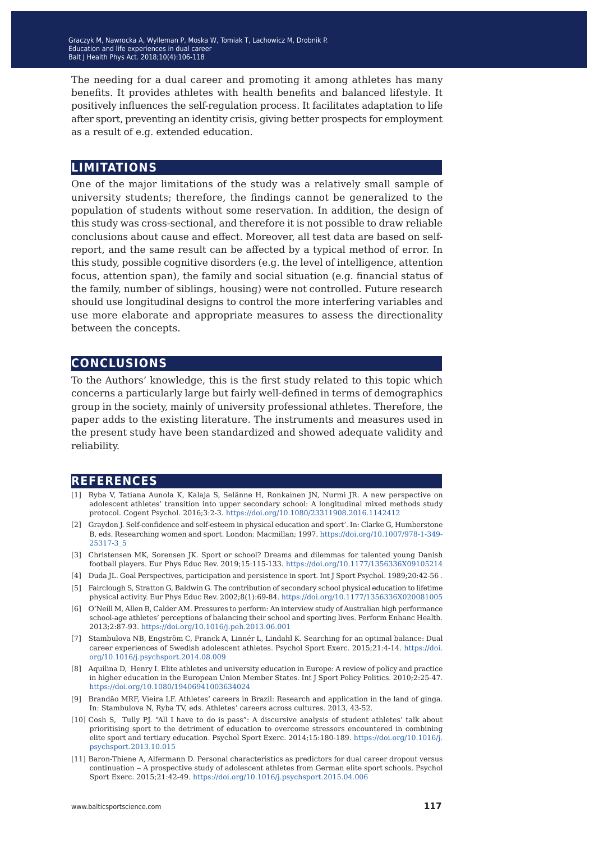The needing for a dual career and promoting it among athletes has many benefits. It provides athletes with health benefits and balanced lifestyle. It positively influences the self-regulation process. It facilitates adaptation to life after sport, preventing an identity crisis, giving better prospects for employment as a result of e.g. extended education.

#### **limitations**

One of the major limitations of the study was a relatively small sample of university students; therefore, the findings cannot be generalized to the population of students without some reservation. In addition, the design of this study was cross-sectional, and therefore it is not possible to draw reliable conclusions about cause and effect. Moreover, all test data are based on selfreport, and the same result can be affected by a typical method of error. In this study, possible cognitive disorders (e.g. the level of intelligence, attention focus, attention span), the family and social situation (e.g. financial status of the family, number of siblings, housing) were not controlled. Future research should use longitudinal designs to control the more interfering variables and use more elaborate and appropriate measures to assess the directionality between the concepts.

#### **conclusions**

To the Authors' knowledge, this is the first study related to this topic which concerns a particularly large but fairly well-defined in terms of demographics group in the society, mainly of university professional athletes. Therefore, the paper adds to the existing literature. The instruments and measures used in the present study have been standardized and showed adequate validity and reliability.

#### **references**

- [1] Ryba V, Tatiana Aunola K, Kalaja S, Selänne H, Ronkainen JN, Nurmi JR. A new perspective on adolescent athletes' transition into upper secondary school: A longitudinal mixed methods study protocol. Cogent Psychol. 2016;3:2-3. <https://doi.org/10.1080/23311908.2016.1142412>
- [2] Graydon J. Self-confidence and self-esteem in physical education and sport'. In: Clarke G, Humberstone B, eds. Researching women and sport. London: Macmillan; 1997. [https://doi.org/10.1007/978-1-349-](https://doi.org/10.1007/978-1-349-25317-3_5) [25317-3\\_5](https://doi.org/10.1007/978-1-349-25317-3_5)
- [3] Christensen MK, Sorensen JK. Sport or school? Dreams and dilemmas for talented young Danish football players. Eur Phys Educ Rev. 2019;15:115-133.<https://doi.org/10.1177/1356336X09105214>
- [4] Duda JL. Goal Perspectives, participation and persistence in sport. Int J Sport Psychol. 1989;20:42-56 . [5] Fairclough S, Stratton G, Baldwin G. The contribution of secondary school physical education to lifetime
- physical activity. Eur Phys Educ Rev. 2002;8(1):69-84.<https://doi.org/10.1177/1356336X020081005>
- [6] O'Neill M, Allen B, Calder AM. Pressures to perform: An interview study of Australian high performance school-age athletes' perceptions of balancing their school and sporting lives. Perform Enhanc Health. 2013;2:87-93.<https://doi.org/10.1016/j.peh.2013.06.001>
- [7] Stambulova NB, Engström C, Franck A, Linnér L, Lindahl K. Searching for an optimal balance: Dual career experiences of Swedish adolescent athletes. Psychol Sport Exerc. 2015;21:4-14. [https://doi.](https://doi.org/10.1016/j.psychsport.2014.08.009) [org/10.1016/j.psychsport.2014.08.009](https://doi.org/10.1016/j.psychsport.2014.08.009)
- [8] Aquilina D, Henry I. Elite athletes and university education in Europe: A review of policy and practice in higher education in the European Union Member States. Int J Sport Policy Politics. 2010;2:25-47. <https://doi.org/10.1080/19406941003634024>
- [9] Brandão MRF, Vieira LF. Athletes' careers in Brazil: Research and application in the land of ginga. In: Stambulova N, Ryba TV, eds. Athletes' careers across cultures. 2013, 43-52.
- [10] Cosh S, Tully PJ. "All I have to do is pass": A discursive analysis of student athletes' talk about prioritising sport to the detriment of education to overcome stressors encountered in combining elite sport and tertiary education. Psychol Sport Exerc. 2014;15:180-189. [https://doi.org/10.1016/j.](https://doi.org/10.1016/j.psychsport.2013.10.015) [psychsport.2013.10.015](https://doi.org/10.1016/j.psychsport.2013.10.015)
- [11] Baron-Thiene A, Alfermann D. Personal characteristics as predictors for dual career dropout versus continuation ‒ A prospective study of adolescent athletes from German elite sport schools. Psychol Sport Exerc. 2015;21:42-49. <https://doi.org/10.1016/j.psychsport.2015.04.006>